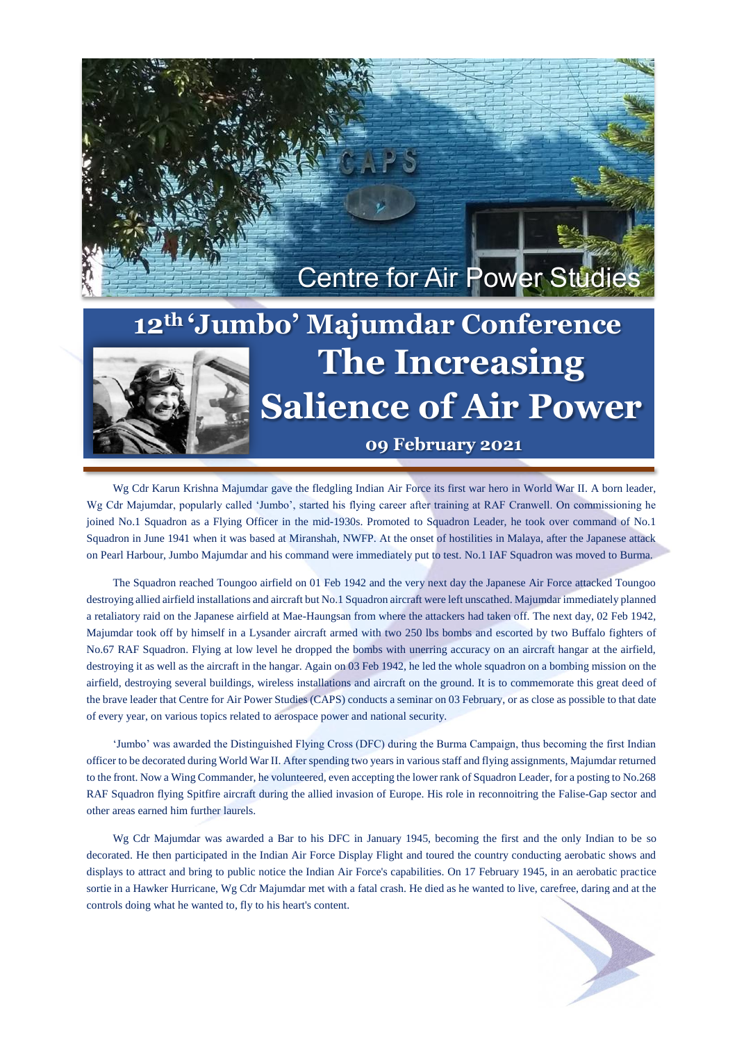

## **Options The Increasing Salience of Air Power 12th 'Jumbo' Majumdar Conference 09 February 2021**

Wg Cdr Karun Krishna Majumdar gave the fledgling Indian Air Force its first war hero in World War II. A born leader, Wg Cdr Majumdar, popularly called 'Jumbo', started his flying career after training at RAF Cranwell. On commissioning he joined No.1 Squadron as a Flying Officer in the mid-1930s. Promoted to Squadron Leader, he took over command of No.1 Squadron in June 1941 when it was based at Miranshah, NWFP. At the onset of hostilities in Malaya, after the Japanese attack on Pearl Harbour, Jumbo Majumdar and his command were immediately put to test. No.1 IAF Squadron was moved to Burma.

The Squadron reached Toungoo airfield on 01 Feb 1942 and the very next day the Japanese Air Force attacked Toungoo destroying allied airfield installations and aircraft but No.1 Squadron aircraft were left unscathed. Majumdar immediately planned a retaliatory raid on the Japanese airfield at Mae-Haungsan from where the attackers had taken off. The next day, 02 Feb 1942, Majumdar took off by himself in a Lysander aircraft armed with two 250 lbs bombs and escorted by two Buffalo fighters of No.67 RAF Squadron. Flying at low level he dropped the bombs with unerring accuracy on an aircraft hangar at the airfield, destroying it as well as the aircraft in the hangar. Again on 03 Feb 1942, he led the whole squadron on a bombing mission on the airfield, destroying several buildings, wireless installations and aircraft on the ground. It is to commemorate this great deed of the brave leader that Centre for Air Power Studies (CAPS) conducts a seminar on 03 February, or as close as possible to that date of every year, on various topics related to aerospace power and national security.

'Jumbo' was awarded the Distinguished Flying Cross (DFC) during the Burma Campaign, thus becoming the first Indian officer to be decorated during World War II. After spending two years in various staff and flying assignments, Majumdar returned to the front. Now a Wing Commander, he volunteered, even accepting the lower rank of Squadron Leader, for a posting to No.268 RAF Squadron flying Spitfire aircraft during the allied invasion of Europe. His role in reconnoitring the Falise-Gap sector and other areas earned him further laurels.

Wg Cdr Majumdar was awarded a Bar to his DFC in January 1945, becoming the first and the only Indian to be so decorated. He then participated in the Indian Air Force Display Flight and toured the country conducting aerobatic shows and displays to attract and bring to public notice the Indian Air Force's capabilities. On 17 February 1945, in an aerobatic practice sortie in a Hawker Hurricane, Wg Cdr Majumdar met with a fatal crash. He died as he wanted to live, carefree, daring and at the controls doing what he wanted to, fly to his heart's content.